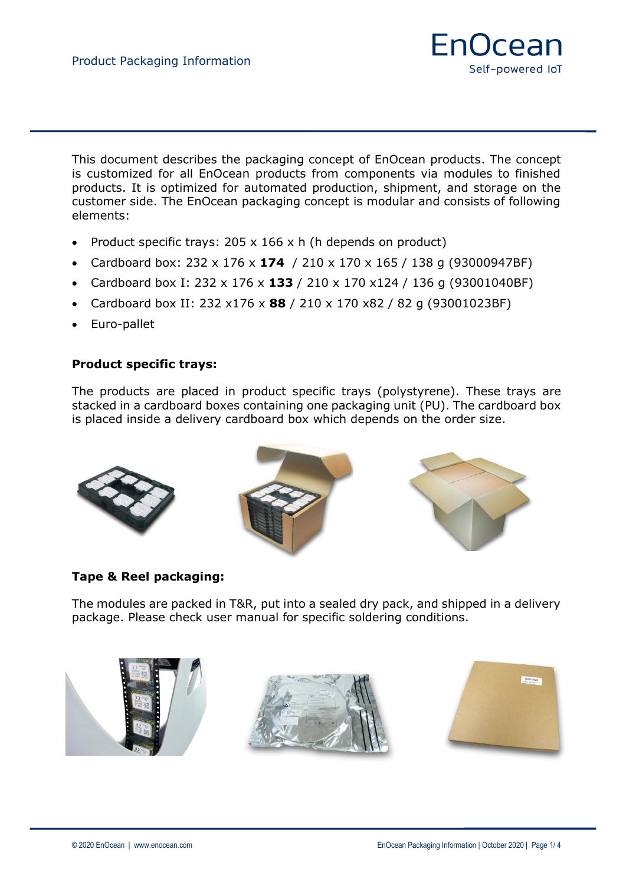

This document describes the packaging concept of EnOcean products. The concept is customized for all EnOcean products from components via modules to finished products. It is optimized for automated production, shipment, and storage on the customer side. The EnOcean packaging concept is modular and consists of following elements:

- Product specific trays: 205 x 166 x h (h depends on product)
- Cardboard box: 232 x 176 x **174** / 210 x 170 x 165 / 138 g (93000947BF)
- Cardboard box I: 232 x 176 x **133** / 210 x 170 x124 / 136 g (93001040BF)
- Cardboard box II: 232 x176 x **88** / 210 x 170 x82 / 82 g (93001023BF)
- Euro-pallet

### **Product specific trays:**

The products are placed in product specific trays (polystyrene). These trays are stacked in a cardboard boxes containing one packaging unit (PU). The cardboard box is placed inside a delivery cardboard box which depends on the order size.



#### **Tape & Reel packaging:**

The modules are packed in T&R, put into a sealed dry pack, and shipped in a delivery package. Please check user manual for specific soldering conditions.

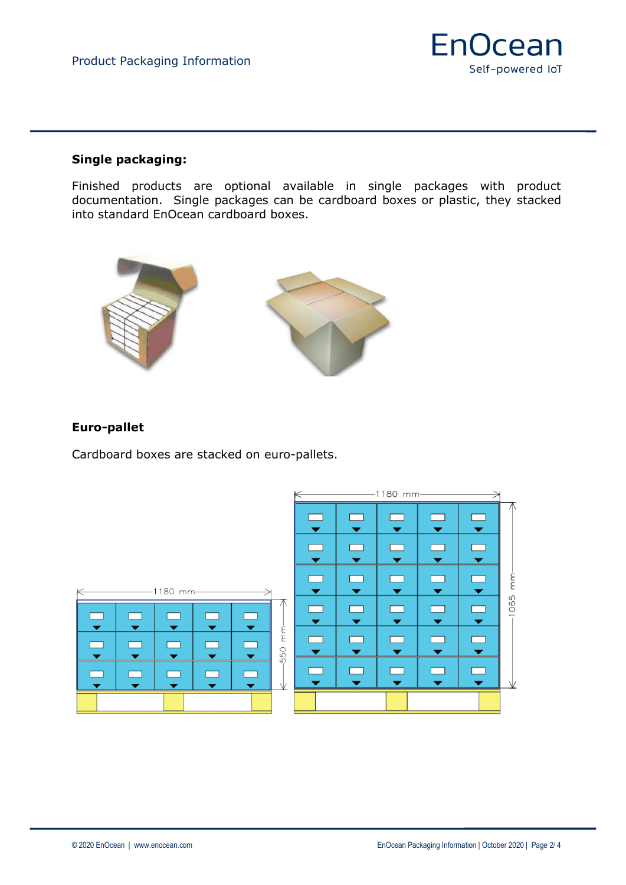

#### **Single packaging:**

Finished products are optional available in single packages with product documentation. Single packages can be cardboard boxes or plastic, they stacked into standard EnOcean cardboard boxes.



## **Euro-pallet**

Cardboard boxes are stacked on euro-pallets.

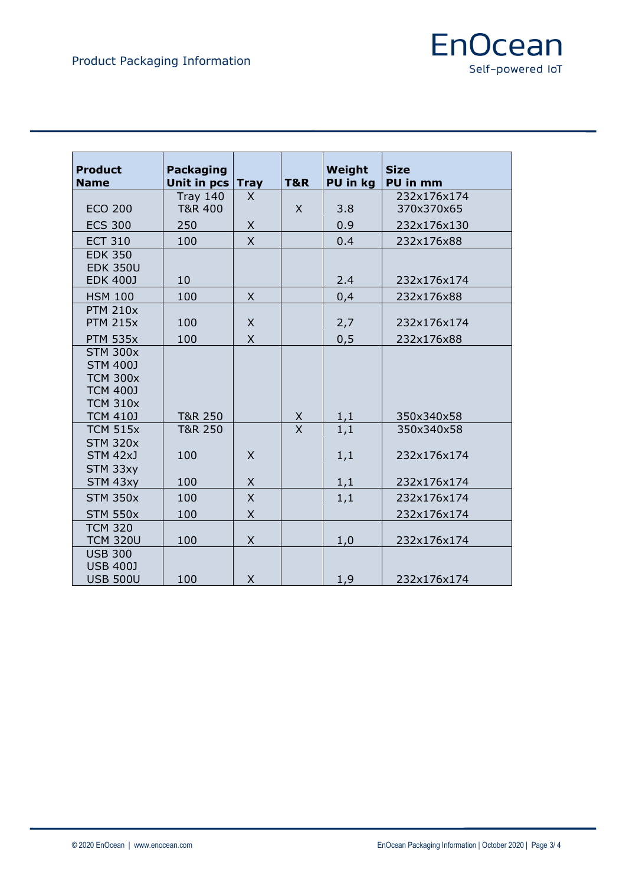

| <b>Product</b><br><b>Name</b>                                                               | <b>Packaging</b><br>Unit in pcs | <b>Tray</b>  | <b>T&amp;R</b>      | Weight<br>PU in kg | <b>Size</b><br>PU in mm |
|---------------------------------------------------------------------------------------------|---------------------------------|--------------|---------------------|--------------------|-------------------------|
|                                                                                             | <b>Tray 140</b>                 | X            |                     |                    | 232x176x174             |
| <b>ECO 200</b>                                                                              | T&R 400                         |              | X                   | 3.8                | 370x370x65              |
| <b>ECS 300</b>                                                                              | 250                             | Χ            |                     | 0.9                | 232x176x130             |
| <b>ECT 310</b>                                                                              | 100                             | $\times$     |                     | 0.4                | 232x176x88              |
| <b>EDK 350</b><br><b>EDK 350U</b><br><b>EDK 400J</b>                                        | 10                              |              |                     | 2.4                | 232x176x174             |
|                                                                                             |                                 |              |                     |                    |                         |
| <b>HSM 100</b>                                                                              | 100                             | $\times$     |                     | 0,4                | 232x176x88              |
| <b>PTM 210x</b><br><b>PTM 215x</b>                                                          | 100                             | X            |                     | 2,7                | 232x176x174             |
| <b>PTM 535x</b>                                                                             | 100                             | $\times$     |                     | 0, 5               | 232x176x88              |
| <b>STM 300x</b><br><b>STM 400J</b><br><b>TCM 300x</b><br><b>TCM 400J</b><br><b>TCM 310x</b> |                                 |              |                     |                    |                         |
| <b>TCM 410J</b>                                                                             | T&R 250                         |              | X<br>$\overline{X}$ | 1,1                | 350x340x58              |
| <b>TCM 515x</b><br><b>STM 320x</b>                                                          | T&R 250                         |              |                     | 1,1                | 350x340x58              |
| STM 42xJ                                                                                    | 100                             | X            |                     | 1,1                | 232x176x174             |
| STM 33xy<br>STM 43xy                                                                        | 100                             | $\mathsf{X}$ |                     | 1,1                | 232x176x174             |
| <b>STM 350x</b>                                                                             | 100                             | X            |                     | 1,1                | 232x176x174             |
| <b>STM 550x</b>                                                                             | 100                             | X            |                     |                    | 232x176x174             |
| <b>TCM 320</b><br><b>TCM 320U</b>                                                           | 100                             | $\times$     |                     | 1,0                | 232x176x174             |
| <b>USB 300</b><br><b>USB 400J</b><br><b>USB 500U</b>                                        | 100                             | X            |                     | 1,9                | 232x176x174             |